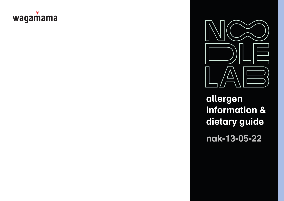## wagamama



**allergen information & dietary guide nak-13-05-22**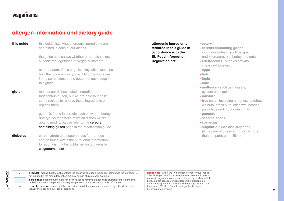## waqamama

## **allergen information and dietary guide**

contained in each of our dishes **this guide**

> the guide also shows whether or not dishes are suitable for vegetarian or vegan customers

at the bottom of this page is a key which explains how the guide works. you will find the same key in the same place at the bottom of each page in this guide

**This guide** linis what bis black the properties one **control in the control of the control of the control of the control of the control of the control of the control of the control of the control of the paper is a the co** most of our dishes include ingredients that contain gluten, but we are able to modify some recipes to remove these ingredients or replace them **gluten**

gluten is found in cereals such as wheat, barley and rye, so for details of which dishes we are able to modify, please refer to the cereals containing gluten page in the modification guide

carbohydrate and sugar values for our food can be found within the nutritional information for each dish that is published on our website wagamama.com **diabetes**

**allergenic ingredients featured in this guide in accordance with the EU Food Information Regulation are**

- **celery**
- **cereals containing gluten**
- including wheat (such as spelt and khorasan), rye, barley and oats
- **crustaceans** such as prawns, crabs and lobsters
- **eggs**
- **fish**
- **lupin**
- **milk**
- **molluscs** such as mussels, oysters and squid
- **mustard**
- **tree nuts**  including almonds, hazelnuts, walnuts, brazil nuts, cashews, pecans, pistachios and macadamia nuts
- **peanuts**
- **sesame seeds**
- **soybeans**
- **sulphur dioxide and sulphites** (if they are at a concentration of more than ten parts per million)

•

\*

**a red dot** ı means that the dish contains the specified allergenic ingredient. sometimes the ingredient is not included in the menu description but may be part of a sauce for example

**a blue box** ı means that the dish can be modified to remove the specified allergenic ingredient or to make it suitable for vegetarians or vegans. please ask your server for more information

**a purple asterisk** ı means that the dish is fried in oil that may also be used to fry other dishes that include the specified allergenic ingredient

**please note ı** whilst we try our best to ensure your food is  $\qquad$ suitable for you, our dishes are prepared in areas in which  $\qquad$ allergenic ingredients are present. these charts show which ditergenic ingredients dre present. these charts show which<br>dishes do not contain certain allergenic ingredients as intentional ingredients, however we cannot guarantee that memberial ingredients, networe the cannot guarantee that dishes are 100% free from these ingredients due to the preparation process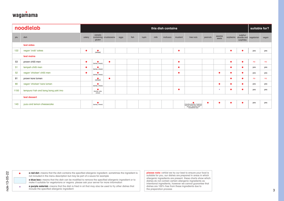

|                  | noodlelab                                                                                                                                                                                                                                                                                                                                                                                   |           |                              |                        |      |      |       |      | this dish contains |           |                                                                                                                                                                                                                                                      |           |                 |           |                                     | suitable for? |       |
|------------------|---------------------------------------------------------------------------------------------------------------------------------------------------------------------------------------------------------------------------------------------------------------------------------------------------------------------------------------------------------------------------------------------|-----------|------------------------------|------------------------|------|------|-------|------|--------------------|-----------|------------------------------------------------------------------------------------------------------------------------------------------------------------------------------------------------------------------------------------------------------|-----------|-----------------|-----------|-------------------------------------|---------------|-------|
| plu              | dish                                                                                                                                                                                                                                                                                                                                                                                        | celery    | cereals<br>gluten            | containing crustaceans | eggs | fish | lupin | milk | molluscs           | mustard   | tree nuts                                                                                                                                                                                                                                            | peanuts   | sesame<br>seeds | soybeans  | sulphur<br>dioxide and<br>sulphites | vegetarian    | vegan |
|                  | test sides                                                                                                                                                                                                                                                                                                                                                                                  |           |                              |                        |      |      |       |      |                    |           |                                                                                                                                                                                                                                                      |           |                 |           |                                     |               |       |
| 122              | vegan 'crab' cakes                                                                                                                                                                                                                                                                                                                                                                          | $\bullet$ | $($ wheat $)$                |                        |      |      |       |      |                    | $\bullet$ |                                                                                                                                                                                                                                                      |           |                 | ٠         | ٠                                   | yes           | yes   |
|                  | test mains                                                                                                                                                                                                                                                                                                                                                                                  |           |                              |                        |      |      |       |      |                    |           |                                                                                                                                                                                                                                                      |           |                 |           |                                     |               |       |
| 53               | prawn chilli men                                                                                                                                                                                                                                                                                                                                                                            | $\bullet$ | $\bullet$<br>(barley, wheat) | $\bullet$              |      |      |       |      |                    | $\bullet$ |                                                                                                                                                                                                                                                      |           |                 | $\bullet$ | ٠                                   | no            | no    |
| 51               | tempeh chilli men                                                                                                                                                                                                                                                                                                                                                                           | $\bullet$ | ٠<br>(barley, wheat)         |                        |      |      |       |      |                    | $\bullet$ |                                                                                                                                                                                                                                                      |           |                 | $\bullet$ | ٠                                   | yes           | yes   |
| 52               | vegan 'chicken' chilli men                                                                                                                                                                                                                                                                                                                                                                  | $\bullet$ | ٠<br>(barley, wheat)         |                        |      |      |       |      |                    | $\bullet$ |                                                                                                                                                                                                                                                      |           | $\bullet$       | $\bullet$ | ٠                                   | yes           | yes   |
| 81               | prawn kare lomen                                                                                                                                                                                                                                                                                                                                                                            |           | - 0<br>(wheat)               | $\bullet$              |      |      |       |      |                    |           |                                                                                                                                                                                                                                                      |           |                 | ٠         |                                     | no            | no    |
| 80               | vegan 'chicken' kare lomen                                                                                                                                                                                                                                                                                                                                                                  |           | ٠<br>(barley, wheat)         |                        |      |      |       |      |                    |           |                                                                                                                                                                                                                                                      |           | ٠               | ٠         | $\bullet$                           | yes           | yes   |
| 1150             | tempura f-ish and bang bang yaki imo                                                                                                                                                                                                                                                                                                                                                        |           | (barley, oats,<br>wheat)     |                        |      |      |       |      |                    | $\bullet$ |                                                                                                                                                                                                                                                      |           |                 | $\bullet$ | $\bullet$                           | yes           | yes   |
|                  | test dessert                                                                                                                                                                                                                                                                                                                                                                                |           |                              |                        |      |      |       |      |                    |           |                                                                                                                                                                                                                                                      |           |                 |           |                                     |               |       |
|                  | yuzu and lemon cheesecake                                                                                                                                                                                                                                                                                                                                                                   |           | ٠                            |                        |      |      |       |      |                    |           |                                                                                                                                                                                                                                                      | $\bullet$ | ٠               | ٠         | ٠                                   | yes           | yes   |
|                  |                                                                                                                                                                                                                                                                                                                                                                                             |           | (barley, wheat)              |                        |      |      |       |      |                    |           | (including almonds, hazelnuts,<br>walnuts, brazil nuts, cashews,<br>pecans, pistachios and<br>macadamia nuts)                                                                                                                                        |           |                 |           |                                     |               |       |
|                  |                                                                                                                                                                                                                                                                                                                                                                                             |           |                              |                        |      |      |       |      |                    |           |                                                                                                                                                                                                                                                      |           |                 |           |                                     |               |       |
| 143<br>$\bullet$ | a red dot I means that the dish contains the specified allergenic ingredient. sometimes the ingredient is<br>not included in the menu description but may be part of a sauce for example<br>a blue box I means that the dish can be modified to remove the specified allergenic ingredient or to<br>make it suitable for vegetarians or vegans. please ask your server for more information |           |                              |                        |      |      |       |      |                    |           | please note I whilst we try our best to ensure your food is<br>suitable for you, our dishes are prepared in areas in which<br>allergenic ingredients are present. these charts show which<br>dishes do not contain certain allergenic ingredients as |           |                 |           |                                     |               |       |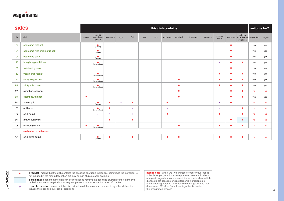

|     | sides                           |           |                              |                        |         |           |       |      | this dish contains |           |           |         |                 |               |                                     | suitable for? |       |
|-----|---------------------------------|-----------|------------------------------|------------------------|---------|-----------|-------|------|--------------------|-----------|-----------|---------|-----------------|---------------|-------------------------------------|---------------|-------|
| plu | dish                            | celery    | cereals<br>gluten            | containing crustaceans | eggs    | fish      | lupin | milk | molluscs           | mustard   | tree nuts | peanuts | sesame<br>seeds | soybeans      | sulphur<br>dioxide and<br>sulphites | vegetarian    | vegan |
| 104 | edamame with salt               |           | $($ wheat $)$                |                        |         |           |       |      |                    |           |           |         |                 | $\bullet$     |                                     | yes           | yes   |
| 104 | edamame with chilli garlic salt |           | $($ wheat $)$                |                        |         |           |       |      |                    |           |           |         |                 | $\bullet$     |                                     | yes           | yes   |
| 104 | edamame plain                   |           | $($ wheat $)$                |                        |         |           |       |      |                    |           |           |         |                 | ٠             |                                     | yes           | yes   |
| 110 | bang bang cauliflower           |           | $\bullet$<br>(barley, wheat) |                        |         |           |       |      |                    |           |           |         |                 | ٠             | ٠                                   | yes           | yes   |
| 106 | wok-fried greens                |           |                              |                        |         |           |       |      |                    |           |           |         |                 | ٠             |                                     | yes           | yes   |
| 119 | vegan chilli 'squid'            |           | (barley, wheat)              |                        |         |           |       |      |                    |           |           |         | $\bullet$       | ٠             | $\bullet$                           | yes           | yes   |
| 120 | sticky vegan 'ribs'             |           | ٠<br>(barley, wheat)         |                        |         |           |       |      |                    | $\bullet$ |           |         | $\bullet$       | $\bullet$     | ٠                                   | yes           | yes   |
| 95  | sticky miso corn                |           | (barley, wheat)              |                        |         |           |       |      |                    | $\bullet$ |           |         | $\bullet$       | $\bullet$     | $\bullet$                           | yes           | yes   |
| 97  | ssambap, chicken                |           |                              |                        |         |           |       |      |                    | $\bullet$ |           |         |                 | ٠             | $\bullet$                           | no            | no    |
| 98  | ssambap, tempeh                 | ٠         |                              |                        |         |           |       |      |                    | $\bullet$ |           |         |                 | $\bullet$     | ٠                                   | yes           | yes   |
| 94  | tama squid                      |           | $($ wheat $)$                | $\bullet$              | $\star$ | $\bullet$ |       |      | $\bullet$          |           |           |         |                 | ٠             |                                     | no            | no    |
| 103 | ebi katsu                       |           | $\bullet$<br>(barley, wheat) | ٠                      | ÷       | $\star$   |       |      |                    |           |           |         |                 | $\rightarrow$ | $\bullet$                           | no            | no    |
| 107 | chilli squid                    |           | $\star$                      | ÷                      | ÷       | $\star$   |       |      | ٠                  |           |           |         | c               |               | ٠                                   | no            | no    |
| 96  | prawn kushiyaki                 |           |                              | $\bullet$              |         | $\bullet$ |       |      |                    |           |           |         |                 | $\bullet$     | $\bullet$                           | no            | no    |
| 108 | chicken yakitori                | $\bullet$ | ٠<br>(barley, wheat)         |                        |         |           |       |      |                    | $\bullet$ |           |         | ٠               | $\bullet$     |                                     | no            | no    |
|     | exclusive to deliveroo          |           |                              |                        |         |           |       |      |                    |           |           |         |                 |               |                                     |               |       |
| 794 | chilli tama squid               |           | $($ wheat $)$                |                        | ÷       | $\bullet$ |       |      | ٠                  | $\bullet$ |           |         | $\bullet$       | ٠             |                                     | no            |       |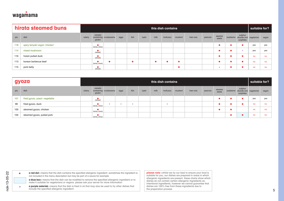

|     | hirata steamed buns            |        |                   |                        |      |      |       |      | this dish contains |         |           |         |                 |                                                         | suitable for? |       |
|-----|--------------------------------|--------|-------------------|------------------------|------|------|-------|------|--------------------|---------|-----------|---------|-----------------|---------------------------------------------------------|---------------|-------|
| plu | dish                           | celery | cereals<br>gluten | containing crustaceans | eggs | fish | lupin | milk | molluscs           | mustard | tree nuts | peanuts | sesame<br>seeds | sulphur<br>soybeans dioxide and vegetarian<br>sulphites |               | vegan |
| 118 | spicy teriyaki vegan 'chicken' |        | (barley, wheat)   |                        |      |      |       |      |                    |         |           |         |                 | ٠                                                       | yes           | yes   |
| 114 | mixed mushroom                 |        | (wheat)           |                        |      |      |       |      |                    |         |           |         |                 | $\star$                                                 | yes           | yes   |
| 116 | hoisin pulled duck             |        | (wheat)           |                        |      |      |       |      |                    |         |           |         |                 |                                                         | no            | no    |
| 113 | korean barbecue beef           |        | (barley, wheat)   |                        |      |      |       |      |                    |         |           |         |                 |                                                         | no            | no    |
| 115 | pork belly                     |        | (wheat)           |                        |      |      |       |      |                    |         |           |         | ÷               |                                                         | no            | no    |

|     | gyoza                          |        |                   |                        |      |         |       |      | this dish contains |         |           |         |                 |           |                                     | suitable for? |       |
|-----|--------------------------------|--------|-------------------|------------------------|------|---------|-------|------|--------------------|---------|-----------|---------|-----------------|-----------|-------------------------------------|---------------|-------|
| plu | dish                           | celery | cereals<br>gluten | containing crustaceans | eggs | fish    | lupin | milk | molluscs           | mustard | tree nuts | peanuts | sesame<br>seeds | soybeans  | sulphur<br>dioxide and<br>sulphites | vegetarian    | vegan |
| 101 | fried gyoza, yasai ı vegetable |        | $($ wheat $)$     |                        |      |         |       |      |                    |         |           |         | $\bullet$       | ٠         |                                     | yes           | yes   |
| 99  | fried gyoza, duck              |        | (barley, wheat)   | $\star$                | ÷    | $\star$ |       |      | $\star$            |         |           |         | $\bullet$       | ٠         |                                     | no            | no    |
| 100 | steamed gyoza, chicken         |        | (barley, wheat)   |                        |      |         |       |      |                    |         |           |         | $\bullet$       | $\bullet$ |                                     | no            | no    |
| 105 | steamed gyoza, pulled pork     |        | (barley, wheat)   |                        |      |         |       |      |                    |         |           |         |                 | ٠         | ●                                   | no            | no    |
|     |                                |        |                   |                        |      |         |       |      |                    |         |           |         |                 |           |                                     |               |       |
|     |                                |        |                   |                        |      |         |       |      |                    |         |           |         |                 |           |                                     |               |       |

**a red dot** ı means that the dish contains the specified allergenic ingredient. sometimes the ingredient is not included in the menu description but may be part of a sauce for example •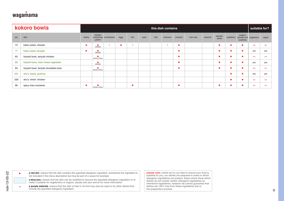

| cereals<br>sulphur<br>sesame<br>dish<br>celery<br>containing crustaceans<br>eggs<br>fish<br>lupin<br>milk<br>molluscs<br>mustard<br>tree nuts<br>peanuts<br>soybeans<br>dioxide and<br>vegetarian<br>seeds<br>gluten<br>sulphites<br>katsu salad, chicken<br>$\bullet$<br>$\star$<br>$\bullet$<br>$\star$<br>$\bullet$<br>$\bullet$<br>$\bullet$<br>٠<br>no<br>$($ wheat $)$<br>$\star$<br>katsu salad, tempeh<br>$\bullet$<br>$\bullet$<br>$\bullet$<br>$\bullet$<br>$($ wheat $)$<br>٠<br>yes<br>hiyashi bowl, teriyaki chicken<br>$\bullet$<br>$\bullet$<br>$\bullet$<br>$\bullet$<br>$\bullet$<br>no<br>(barley, wheat)<br>65<br>hiyashi bowl, miso mixed vegetable<br>$\bullet$<br>$\bullet$<br>$($ wheat $)$<br>٠<br>٠<br>yes<br>64<br>hiyashi bowl, teriyaki shredded duck<br>$\bullet$<br>٠<br>$\bullet$<br>no<br>(barley, wheat)<br>$\bullet$<br>231<br>shu's 'shiok' jackfruit<br>٠<br>$\bullet$<br>yes<br>shu's 'shiok' chicken<br>$\bullet$<br>٠<br>no<br>$\bullet$<br>spicy miso mackerel<br>$\bullet$<br>$\bullet$<br>$\bullet$<br>$\bullet$<br>no<br>(barley, wheat)<br>$\bullet$ |     | kokoro bowls |  |  |  | this dish contains |  |  |  | suitable for? |       |
|--------------------------------------------------------------------------------------------------------------------------------------------------------------------------------------------------------------------------------------------------------------------------------------------------------------------------------------------------------------------------------------------------------------------------------------------------------------------------------------------------------------------------------------------------------------------------------------------------------------------------------------------------------------------------------------------------------------------------------------------------------------------------------------------------------------------------------------------------------------------------------------------------------------------------------------------------------------------------------------------------------------------------------------------------------------------------------------------------|-----|--------------|--|--|--|--------------------|--|--|--|---------------|-------|
|                                                                                                                                                                                                                                                                                                                                                                                                                                                                                                                                                                                                                                                                                                                                                                                                                                                                                                                                                                                                                                                                                                  | plu |              |  |  |  |                    |  |  |  |               | vegan |
|                                                                                                                                                                                                                                                                                                                                                                                                                                                                                                                                                                                                                                                                                                                                                                                                                                                                                                                                                                                                                                                                                                  | 74  |              |  |  |  |                    |  |  |  |               | no    |
|                                                                                                                                                                                                                                                                                                                                                                                                                                                                                                                                                                                                                                                                                                                                                                                                                                                                                                                                                                                                                                                                                                  | 77  |              |  |  |  |                    |  |  |  |               | yes   |
|                                                                                                                                                                                                                                                                                                                                                                                                                                                                                                                                                                                                                                                                                                                                                                                                                                                                                                                                                                                                                                                                                                  | 63  |              |  |  |  |                    |  |  |  |               | no    |
|                                                                                                                                                                                                                                                                                                                                                                                                                                                                                                                                                                                                                                                                                                                                                                                                                                                                                                                                                                                                                                                                                                  |     |              |  |  |  |                    |  |  |  |               | yes   |
|                                                                                                                                                                                                                                                                                                                                                                                                                                                                                                                                                                                                                                                                                                                                                                                                                                                                                                                                                                                                                                                                                                  |     |              |  |  |  |                    |  |  |  |               | no    |
|                                                                                                                                                                                                                                                                                                                                                                                                                                                                                                                                                                                                                                                                                                                                                                                                                                                                                                                                                                                                                                                                                                  |     |              |  |  |  |                    |  |  |  |               | yes   |
|                                                                                                                                                                                                                                                                                                                                                                                                                                                                                                                                                                                                                                                                                                                                                                                                                                                                                                                                                                                                                                                                                                  | 230 |              |  |  |  |                    |  |  |  |               | no    |
|                                                                                                                                                                                                                                                                                                                                                                                                                                                                                                                                                                                                                                                                                                                                                                                                                                                                                                                                                                                                                                                                                                  | 85  |              |  |  |  |                    |  |  |  |               | no    |
|                                                                                                                                                                                                                                                                                                                                                                                                                                                                                                                                                                                                                                                                                                                                                                                                                                                                                                                                                                                                                                                                                                  |     |              |  |  |  |                    |  |  |  |               |       |
|                                                                                                                                                                                                                                                                                                                                                                                                                                                                                                                                                                                                                                                                                                                                                                                                                                                                                                                                                                                                                                                                                                  |     |              |  |  |  |                    |  |  |  |               |       |
| please note I whilst we try our best to ensure your food is<br>a red dot I means that the dish contains the specified allergenic ingredient. sometimes the ingredient is<br>$\bullet$<br>suitable for you, our dishes are prepared in areas in which<br>not included in the menu description but may be part of a sauce for example                                                                                                                                                                                                                                                                                                                                                                                                                                                                                                                                                                                                                                                                                                                                                              |     |              |  |  |  |                    |  |  |  |               |       |
| allergenic ingredients are present. these charts show which<br>a blue box I means that the dish can be modified to remove the specified allergenic ingredient or to<br>dishes do not contain certain allergenic ingredients as<br>make it suitable for vegetarians or vegans. please ask your server for more information<br>intentional ingredients, however we cannot guarantee that                                                                                                                                                                                                                                                                                                                                                                                                                                                                                                                                                                                                                                                                                                           |     |              |  |  |  |                    |  |  |  |               |       |

nak-13-05-22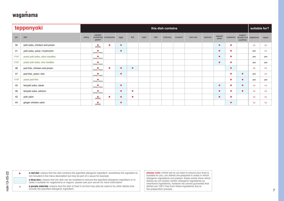

|      | teppanyaki                    |        |                              |                        |           |           |       |      | this dish contains |         |           |         |                 |           |                                     | suitable for? |       |
|------|-------------------------------|--------|------------------------------|------------------------|-----------|-----------|-------|------|--------------------|---------|-----------|---------|-----------------|-----------|-------------------------------------|---------------|-------|
| plu  | dish                          | celery | cereals<br>gluten            | containing crustaceans | eggs      | fish      | lupin | milk | molluscs           | mustard | tree nuts | peanuts | sesame<br>seeds | soybeans  | sulphur<br>dioxide and<br>sulphites | vegetarian    | vegan |
| 40   | yaki soba, chicken and prawn  |        | $($ wheat $)$                | $\bullet$              | $\bullet$ |           |       |      |                    |         |           |         | $\bullet$       | $\bullet$ |                                     | no            | no    |
| 41   | yaki soba, yasai ı mushroom   |        | ٠<br>(barley, wheat)         |                        | $\bullet$ |           |       |      |                    |         |           |         | $\bullet$       | $\bullet$ |                                     | yes           | no    |
| 1141 | yasai yaki soba, udon noodles |        | 0<br>(barley, wheat)         |                        |           |           |       |      |                    |         |           |         | $\bullet$       | $\bullet$ |                                     | yes           | yes   |
| 1141 | yasai yaki soba, rice noodles |        | ٠<br>(barley, wheat)         |                        |           |           |       |      |                    |         |           |         | $\bullet$       | $\bullet$ |                                     | yes           | yes   |
| 48   | pad thai, chicken and prawn   |        | (barley, wheat)              | ×                      | $\bullet$ | $\bullet$ |       |      |                    |         |           |         |                 | $\bullet$ |                                     | no            | no    |
| 47   | pad thai, yasai ı tofu        |        | (barley, wheat)              |                        | $\bullet$ |           |       |      |                    |         |           |         |                 | ٠         | $\bullet$                           | yes           | no    |
| 1147 | yasai pad thai                |        | ٠<br>(barley, wheat)         |                        |           |           |       |      |                    |         |           |         |                 | $\bullet$ | ٠                                   | yes           | yes   |
| 45   | teriyaki soba, steak          |        | $\bullet$<br>(barley, wheat) |                        | $\bullet$ |           |       |      |                    |         |           |         | $\bullet$       | $\bullet$ | $\bullet$                           | no            | no    |
| 46   | teriyaki soba, salmon         |        | (barley, wheat)              |                        | Ō         | $\bullet$ |       |      |                    |         |           |         | $\bullet$       | $\bullet$ | $\bullet$                           | no            | no    |
| 42   | yaki udon                     |        | $($ wheat $)$                |                        | $\bullet$ | $\bullet$ |       |      |                    |         |           |         | $\bullet$       | $\bullet$ |                                     | no            | no    |
| 44   | ginger chicken udon           |        | $($ wheat $)$                |                        | $\bullet$ |           |       |      |                    |         |           |         |                 | $\bullet$ |                                     | no            | no    |
|      |                               |        |                              |                        |           |           |       |      |                    |         |           |         |                 |           |                                     |               |       |
|      |                               |        |                              |                        |           |           |       |      |                    |         |           |         |                 |           |                                     |               |       |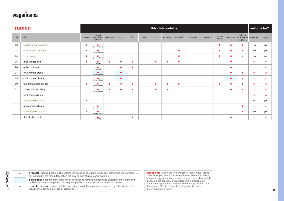

|           | ramen                                                                                                                                                                                    |           |                              |                        |           |           |       |           | this dish contains |           |                                                                                                                            |         |                 |           |                                     | suitable for? |       |
|-----------|------------------------------------------------------------------------------------------------------------------------------------------------------------------------------------------|-----------|------------------------------|------------------------|-----------|-----------|-------|-----------|--------------------|-----------|----------------------------------------------------------------------------------------------------------------------------|---------|-----------------|-----------|-------------------------------------|---------------|-------|
| plu       | dish                                                                                                                                                                                     | celery    | cereals<br>gluten            | containing crustaceans | eggs      | fish      | lupin | milk      | molluscs           | mustard   | tree nuts                                                                                                                  | peanuts | sesame<br>seeds | soybeans  | sulphur<br>dioxide and<br>sulphites | vegetarian    | vegan |
| 28        | teriyaki vegan 'chicken'                                                                                                                                                                 | $\bullet$ | (barley, wheat)              |                        |           |           |       |           |                    |           |                                                                                                                            |         | $\bullet$       | $\bullet$ | ٠                                   | yes           | yes   |
| 22        | spicy vegan short 'rib'                                                                                                                                                                  | $\bullet$ | (barley, wheat)              |                        |           |           |       |           |                    | $\bullet$ |                                                                                                                            |         | $\bullet$       | ٠         | $\bullet$                           | yes           | yes   |
| 23        | kare burosu                                                                                                                                                                              | $\bullet$ | (barley, wheat)              |                        |           |           |       |           |                    | $\bullet$ |                                                                                                                            |         | $\bullet$       | ٠         |                                     | yes           | yes   |
| 35        | miso-glazed cod                                                                                                                                                                          | $\bullet$ | $($ wheat $)$                | $\bullet$              | $\bullet$ | $\bullet$ |       | $\bullet$ | ٠                  | $\bullet$ |                                                                                                                            |         |                 | $\bullet$ |                                     | no            | no    |
| 20        | grilled chicken                                                                                                                                                                          |           | $($ wheat $)$                |                        | $\bullet$ | $\bullet$ |       |           |                    |           |                                                                                                                            |         |                 | $\bullet$ |                                     | no            | no    |
| 24        | chilli ramen, steak                                                                                                                                                                      |           | $\bullet$<br>(barley, wheat) |                        | $\bullet$ |           |       |           |                    |           |                                                                                                                            |         |                 | $\bullet$ | $\bullet$                           | no            | no    |
| 25        | chilli ramen, chicken                                                                                                                                                                    |           | (barley, wheat)              |                        | $\bullet$ |           |       |           |                    |           |                                                                                                                            |         |                 | $\bullet$ | ٠                                   | no            | no    |
| 30        | tantanmen beef brisket                                                                                                                                                                   | $\bullet$ | (barley, wheat)              | $\bullet$              |           | $\bullet$ |       | $\bullet$ | $\bullet$          | $\bullet$ |                                                                                                                            |         | ٠               | ٠         | ٠                                   | no            | no    |
| 31        | shirodashi pork belly                                                                                                                                                                    |           | (barley, wheat)              |                        | $\bullet$ | $\bullet$ |       | ٠         | $\bullet$          |           |                                                                                                                            |         |                 | ٠         | $\bullet$                           | no            | no    |
|           | light chicken broth                                                                                                                                                                      |           |                              |                        |           |           |       |           |                    |           |                                                                                                                            |         |                 |           |                                     | no            | no    |
|           | light vegetable broth                                                                                                                                                                    | $\bullet$ |                              |                        |           |           |       |           |                    |           |                                                                                                                            |         |                 |           |                                     | yes           | yes   |
|           | spicy chicken broth                                                                                                                                                                      |           | barley, wheat                |                        |           |           |       |           |                    |           |                                                                                                                            |         |                 |           | ٠                                   | no            | no    |
|           | spicy vegetable broth                                                                                                                                                                    | $\bullet$ | (barley, wheat               |                        |           |           |       |           |                    |           |                                                                                                                            |         |                 |           |                                     | yes           | yes   |
|           | rich chicken broth                                                                                                                                                                       |           | $($ wheat $)$                |                        |           | $\bullet$ |       |           |                    |           |                                                                                                                            |         |                 | $\bullet$ |                                     | no            | no    |
|           |                                                                                                                                                                                          |           |                              |                        |           |           |       |           |                    |           |                                                                                                                            |         |                 |           |                                     |               |       |
| $\bullet$ | a red dot I means that the dish contains the specified allergenic ingredient. sometimes the ingredient is<br>not included in the menu description but may be part of a sauce for example |           |                              |                        |           |           |       |           |                    |           | please note I whilst we try our best to ensure your food is<br>suitable for you, our dishes are prepared in areas in which |         |                 |           |                                     |               |       |

nak-13-05-22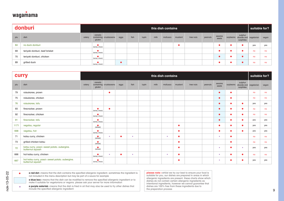## wagamama

|     | donburi                        |        |                   |                        |      |      |       |      | this dish contains |         |           |         |                 |                      | suitable for?                   |       |
|-----|--------------------------------|--------|-------------------|------------------------|------|------|-------|------|--------------------|---------|-----------|---------|-----------------|----------------------|---------------------------------|-------|
| plu | dish                           | celery | cereals<br>gluten | containing crustaceans | eggs | fish | lupin | milk | molluscs           | mustard | tree nuts | peanuts | sesame<br>seeds | sulphur<br>sulphites | soybeans dioxide and vegetarian | vegan |
| 84  | no duck donburi                |        | (barley, wheat)   |                        |      |      |       |      |                    |         |           |         |                 |                      | yes                             | yes   |
| 69  | teriyaki donburi, beef brisket |        | (barley, wheat)   |                        |      |      |       |      |                    |         |           |         |                 |                      | no                              | no    |
| 70  | teriyaki donburi, chicken      |        | (barley, wheat)   |                        |      |      |       |      |                    |         |           |         |                 |                      | no                              | no    |
| 89  | grilled duck                   |        | (barley, wheat)   |                        |      |      |       |      |                    |         |           |         |                 |                      | no                              | no    |

|              | <b>CUITY</b>                                                                                                                                                                                                                                                                                                                                                                                                                                                                                                                                         |        |                   |                        |      |         |       |                         | this dish contains |           |                                                                                                                                                                                                                                                                                                                                                                         |         |                 |           |                                     | suitable for? |       |
|--------------|------------------------------------------------------------------------------------------------------------------------------------------------------------------------------------------------------------------------------------------------------------------------------------------------------------------------------------------------------------------------------------------------------------------------------------------------------------------------------------------------------------------------------------------------------|--------|-------------------|------------------------|------|---------|-------|-------------------------|--------------------|-----------|-------------------------------------------------------------------------------------------------------------------------------------------------------------------------------------------------------------------------------------------------------------------------------------------------------------------------------------------------------------------------|---------|-----------------|-----------|-------------------------------------|---------------|-------|
| plu          | dish                                                                                                                                                                                                                                                                                                                                                                                                                                                                                                                                                 | celery | cereals<br>gluten | containing crustaceans | eggs | fish    | lupin | milk                    | molluscs           | mustard   | tree nuts                                                                                                                                                                                                                                                                                                                                                               | peanuts | sesame<br>seeds | soybeans  | sulphur<br>dioxide and<br>sulphites | vegetarian    | vegan |
| 79           | raisukaree, prawn                                                                                                                                                                                                                                                                                                                                                                                                                                                                                                                                    |        |                   | $\bullet$              |      |         |       |                         |                    |           |                                                                                                                                                                                                                                                                                                                                                                         |         | $\bullet$       | ٠         |                                     | no            | no    |
| 75           | raisukaree, chicken                                                                                                                                                                                                                                                                                                                                                                                                                                                                                                                                  |        |                   |                        |      |         |       |                         |                    |           |                                                                                                                                                                                                                                                                                                                                                                         |         | $\bullet$       | ٠         |                                     | no            | no    |
| 76           | raisukaree, tofu                                                                                                                                                                                                                                                                                                                                                                                                                                                                                                                                     |        |                   |                        |      |         |       |                         |                    |           |                                                                                                                                                                                                                                                                                                                                                                         |         | $\bullet$       | ٠         | $\bullet$                           | yes           | yes   |
| 93           | firecracker, prawn                                                                                                                                                                                                                                                                                                                                                                                                                                                                                                                                   |        | (barley, wheat)   | G                      |      |         |       |                         |                    |           |                                                                                                                                                                                                                                                                                                                                                                         |         | $\bullet$       | ٠         |                                     | no            | no    |
| 92           | firecracker, chicken                                                                                                                                                                                                                                                                                                                                                                                                                                                                                                                                 |        | (barley, wheat)   |                        |      |         |       |                         |                    |           |                                                                                                                                                                                                                                                                                                                                                                         |         | $\bullet$       | ٠         | ●                                   | no            | no    |
| 91           | firecracker, tofu                                                                                                                                                                                                                                                                                                                                                                                                                                                                                                                                    |        | (barley, wheat)   |                        |      |         |       |                         |                    |           |                                                                                                                                                                                                                                                                                                                                                                         |         | $\bullet$       | ٠         | ▲                                   | yes           | yes   |
| 1171         | vegatsu, regular                                                                                                                                                                                                                                                                                                                                                                                                                                                                                                                                     |        | $($ wheat $)$     |                        |      |         |       |                         |                    | ٠         |                                                                                                                                                                                                                                                                                                                                                                         |         | $\bullet$       | ٠         |                                     | yes           | yes   |
| 668          | vegatsu, hot                                                                                                                                                                                                                                                                                                                                                                                                                                                                                                                                         |        | (barley, wheat)   |                        |      |         |       |                         |                    | $\bullet$ |                                                                                                                                                                                                                                                                                                                                                                         |         | $\bullet$       | ٠         | ٠                                   | yes           | yes   |
| 71           | katsu curry, chicken                                                                                                                                                                                                                                                                                                                                                                                                                                                                                                                                 |        | $($ wheat $)$     | $\star$                |      | $\star$ |       |                         |                    | $\bullet$ |                                                                                                                                                                                                                                                                                                                                                                         |         | $\star$         | ٠         |                                     | no            | no    |
| 73           | grilled chicken katsu                                                                                                                                                                                                                                                                                                                                                                                                                                                                                                                                |        | $($ wheat $)$     |                        |      |         |       |                         |                    | $\bullet$ |                                                                                                                                                                                                                                                                                                                                                                         |         |                 | $\bullet$ |                                     | no            | no    |
| 72           | katsu curry, yasai ı sweet potato. aubergine.<br>butternut squash                                                                                                                                                                                                                                                                                                                                                                                                                                                                                    |        | $($ wheat $)$     |                        |      |         |       |                         |                    | ٠         |                                                                                                                                                                                                                                                                                                                                                                         |         |                 | ٠         |                                     | yes           | yes   |
| 666          | hot katsu curry, chicken                                                                                                                                                                                                                                                                                                                                                                                                                                                                                                                             |        | (barley, wheat)   | $\star$                |      | $\star$ |       |                         |                    | $\bullet$ |                                                                                                                                                                                                                                                                                                                                                                         |         | $\star$         | ٠         | ≏                                   | no            | no    |
| 667          | hot katsu curry, yasai ı sweet potato. aubergine.<br>butternut squash                                                                                                                                                                                                                                                                                                                                                                                                                                                                                |        | (barley, wheat)   |                        |      |         |       |                         |                    | ٠         |                                                                                                                                                                                                                                                                                                                                                                         |         |                 | ٠         |                                     | yes           | yes   |
| ٠<br>$\star$ | a red dot I means that the dish contains the specified allergenic ingredient. sometimes the ingredient is<br>not included in the menu description but may be part of a sauce for example<br>a blue box I means that the dish can be modified to remove the specified allergenic ingredient or to<br>make it suitable for vegetarians or vegans. please ask your server for more information<br>a purple asterisk I means that the dish is fried in oil that may also be used to fry other dishes that<br>include the specified allergenic ingredient |        |                   |                        |      |         |       | the preparation process |                    |           | please note I whilst we try our best to ensure your food is<br>suitable for you, our dishes are prepared in areas in which<br>allergenic ingredients are present. these charts show which<br>dishes do not contain certain allergenic ingredients as<br>intentional ingredients, however we cannot guarantee that<br>dishes are 100% free from these ingredients due to |         |                 |           |                                     |               |       |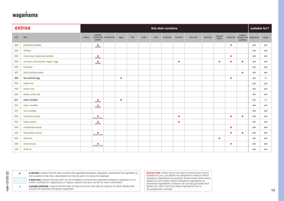

|     | extras                           |        |                              |                        |           |      |       |      | this dish contains |           |           |         |                 |           |                                     | suitable for? |       |
|-----|----------------------------------|--------|------------------------------|------------------------|-----------|------|-------|------|--------------------|-----------|-----------|---------|-----------------|-----------|-------------------------------------|---------------|-------|
| plu | dish                             | celery | cereals<br>gluten            | containing crustaceans | eggs      | fish | lupin | milk | molluscs           | mustard   | tree nuts | peanuts | sesame<br>seeds | soybeans  | sulphur<br>dioxide and<br>sulphites | vegetarian    | vegan |
| 304 | japanese pickles                 |        | $($ wheat $)$                |                        |           |      |       |      |                    |           |           |         |                 | $\bullet$ |                                     | yes           | yes   |
| 303 | chillies                         |        |                              |                        |           |      |       |      |                    |           |           |         |                 |           |                                     | yes           | yes   |
| 302 | miso soup. japanese pickles      |        | $($ wheat $)$                |                        |           |      |       |      |                    |           |           |         |                 | $\bullet$ |                                     | yes           | yes   |
| 309 | coconut and sriracha vegan 'egg' |        | $($ wheat $)$                |                        |           |      |       |      |                    | ٠         |           |         | ٠               | ٠         | ٠                                   | yes           | yes   |
| 306 | kimchee                          |        |                              |                        |           |      |       |      |                    |           |           |         |                 |           |                                     | yes           | yes   |
| 307 | chilli sambal paste              |        |                              |                        |           |      |       |      |                    |           |           |         |                 |           | ٠                                   | yes           | yes   |
| 305 | tea-stained egg                  |        |                              |                        | ٠         |      |       |      |                    |           |           |         |                 | ٠         |                                     | yes           | no    |
| 300 | white rice                       |        |                              |                        |           |      |       |      |                    |           |           |         |                 |           |                                     | yes           | yes   |
| 300 | brown rice                       |        |                              |                        |           |      |       |      |                    |           |           |         |                 |           |                                     | yes           | yes   |
| 300 | sticky white rice                |        |                              |                        |           |      |       |      |                    |           |           |         |                 |           |                                     | yes           | yes   |
| 301 | soba noodles                     |        | $($ wheat $)$                |                        | $\bullet$ |      |       |      |                    |           |           |         |                 |           |                                     | yes           | no    |
| 301 | udon noodles                     |        | $($ wheat $)$                |                        |           |      |       |      |                    |           |           |         |                 |           |                                     | yes           | yes   |
| 301 | rice noodles                     |        |                              |                        |           |      |       |      |                    |           |           |         |                 |           |                                     | yes           | yes   |
| 204 | hot katsu sauce                  |        | (barley, wheat)              |                        |           |      |       |      |                    | ٠         |           |         |                 | ٠         |                                     | yes           | yes   |
| 204 | katsu sauce                      |        | $($ wheat $)$                |                        |           |      |       |      |                    | $\bullet$ |           |         |                 |           |                                     | yes           | yes   |
| 204 | raisukaree sauce                 |        |                              |                        |           |      |       |      |                    |           |           |         |                 | ٠         |                                     | yes           | yes   |
| 204 | firecracker sauce                |        | ٠<br>(barley, wheat)         |                        |           |      |       |      |                    |           |           |         |                 | ٠         |                                     | yes           | yes   |
| 334 | shichimi                         |        |                              |                        |           |      |       |      |                    |           |           |         | $\bullet$       |           |                                     | yes           | yes   |
| 339 | amai sauce                       |        | $\bullet$<br>(barley, wheat) |                        |           |      |       |      |                    |           |           |         |                 | $\bullet$ |                                     | yes           | yes   |
| 333 | chilli oil                       |        |                              |                        |           |      |       |      |                    |           |           |         |                 |           |                                     | yes           | yes   |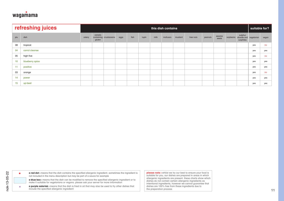

|           | refreshing juices                                                                                                                                                                                                                                                                                                                                                                           |        |                   |                        |      |      |       |      | this dish contains |         |                                                                                                                                                                                                                                                                                                                   |         |                 |          |                                     | suitable for? |       |
|-----------|---------------------------------------------------------------------------------------------------------------------------------------------------------------------------------------------------------------------------------------------------------------------------------------------------------------------------------------------------------------------------------------------|--------|-------------------|------------------------|------|------|-------|------|--------------------|---------|-------------------------------------------------------------------------------------------------------------------------------------------------------------------------------------------------------------------------------------------------------------------------------------------------------------------|---------|-----------------|----------|-------------------------------------|---------------|-------|
| plu       | dish                                                                                                                                                                                                                                                                                                                                                                                        | celery | cereals<br>gluten | containing crustaceans | eggs | fish | lupin | milk | molluscs           | mustard | tree nuts                                                                                                                                                                                                                                                                                                         | peanuts | sesame<br>seeds | soybeans | sulphur<br>dioxide and<br>sulphites | vegetarian    | vegan |
| 08        | tropical                                                                                                                                                                                                                                                                                                                                                                                    |        |                   |                        |      |      |       |      |                    |         |                                                                                                                                                                                                                                                                                                                   |         |                 |          |                                     | yes           | no    |
| 04        | carrot cleanse                                                                                                                                                                                                                                                                                                                                                                              |        |                   |                        |      |      |       |      |                    |         |                                                                                                                                                                                                                                                                                                                   |         |                 |          |                                     | yes           | yes   |
| 05        | high five                                                                                                                                                                                                                                                                                                                                                                                   |        |                   |                        |      |      |       |      |                    |         |                                                                                                                                                                                                                                                                                                                   |         |                 |          |                                     | yes           | no    |
| 10        | blueberry spice                                                                                                                                                                                                                                                                                                                                                                             |        |                   |                        |      |      |       |      |                    |         |                                                                                                                                                                                                                                                                                                                   |         |                 |          |                                     | yes           | yes   |
| 11        | positive                                                                                                                                                                                                                                                                                                                                                                                    |        |                   |                        |      |      |       |      |                    |         |                                                                                                                                                                                                                                                                                                                   |         |                 |          |                                     | yes           | yes   |
| 03        | orange                                                                                                                                                                                                                                                                                                                                                                                      |        |                   |                        |      |      |       |      |                    |         |                                                                                                                                                                                                                                                                                                                   |         |                 |          |                                     | yes           | no    |
| 14        | power                                                                                                                                                                                                                                                                                                                                                                                       |        |                   |                        |      |      |       |      |                    |         |                                                                                                                                                                                                                                                                                                                   |         |                 |          |                                     | yes           | yes   |
| 15        | up-beet                                                                                                                                                                                                                                                                                                                                                                                     |        |                   |                        |      |      |       |      |                    |         |                                                                                                                                                                                                                                                                                                                   |         |                 |          |                                     | yes           | yes   |
|           |                                                                                                                                                                                                                                                                                                                                                                                             |        |                   |                        |      |      |       |      |                    |         |                                                                                                                                                                                                                                                                                                                   |         |                 |          |                                     |               |       |
|           |                                                                                                                                                                                                                                                                                                                                                                                             |        |                   |                        |      |      |       |      |                    |         |                                                                                                                                                                                                                                                                                                                   |         |                 |          |                                     |               |       |
| $\bullet$ | a red dot I means that the dish contains the specified allergenic ingredient. sometimes the ingredient is<br>not included in the menu description but may be part of a sauce for example<br>a blue box I means that the dish can be modified to remove the specified allergenic ingredient or to<br>make it suitable for vegetarians or vegans. please ask your server for more information |        |                   |                        |      |      |       |      |                    |         | please note I whilst we try our best to ensure your food is<br>suitable for you, our dishes are prepared in areas in which<br>allergenic ingredients are present. these charts show which<br>dishes do not contain certain allergenic ingredients as<br>intentional ingredients, however we cannot guarantee that |         |                 |          |                                     |               |       |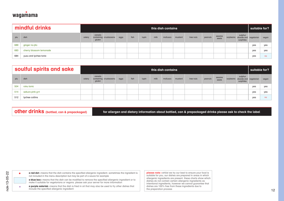

|     | mindful drinks          |        |                   |                        |      |      |       |      | this dish contains |         |           |         |                 |                                 |                      | suitable for? |       |
|-----|-------------------------|--------|-------------------|------------------------|------|------|-------|------|--------------------|---------|-----------|---------|-----------------|---------------------------------|----------------------|---------------|-------|
| plu | dish                    | celery | cereals<br>gluten | containing crustaceans | eggs | fish | lupin | milk | molluscs           | mustard | tree nuts | peanuts | sesame<br>seeds | soybeans dioxide and vegetarian | sulphur<br>sulphites |               | vegan |
| 689 | ginger no-jito          |        |                   |                        |      |      |       |      |                    |         |           |         |                 |                                 |                      | yes           | ves   |
| 683 | cherry blossom lemonade |        |                   |                        |      |      |       |      |                    |         |           |         |                 |                                 |                      | yes           | ves   |
| 684 | yuzu and lychee tonic   |        |                   |                        |      |      |       |      |                    |         |           |         |                 |                                 |                      | yes           | no    |

|     | soulful spirits and sake |        |                   |                        |      |      |       |      | this dish contains |         |           |         |                 |                                                         | suitable for? |       |
|-----|--------------------------|--------|-------------------|------------------------|------|------|-------|------|--------------------|---------|-----------|---------|-----------------|---------------------------------------------------------|---------------|-------|
| plu | dish                     | celery | cereals<br>gluten | containing crustaceans | eggs | fish | lupin | milk | molluscs           | mustard | tree nuts | peanuts | sesame<br>seeds | sulphur<br>soybeans dioxide and vegetarian<br>sulphites |               | vegan |
| 504 | roku tonic               |        |                   |                        |      |      |       |      |                    |         |           |         |                 |                                                         | yes           | yes   |
| 514 | sakura pink g+t          |        |                   |                        |      |      |       |      |                    |         |           |         |                 |                                                         | yes           | yes   |
| 512 | lychee collins           |        |                   |                        |      |      |       |      |                    |         |           |         |                 |                                                         | yes           | no    |

nak-13-05-22

\*

**a red dot** I means that the dish contains the specified allergenic ingredient. sometimes the ingredient is not included in the menu description but may be part of a sauce for example •

**a blue box** ı means that the dish can be modified to remove the specified allergenic ingredient or to make it suitable for vegetarians or vegans. please ask your server for more information

**a purple asterisk** ı means that the dish is fried in oil that may also be used to fry other dishes that include the specified allergenic ingredient

**please note ı** whilst we try our best to ensure your food is suitable for you, our dishes are prepared in areas in which allergenic ingredients are present. these charts show which dishes do not contain certain allergenic ingredients as intentional ingredients, however we cannot guarantee that dishes are 100% free from these ingredients due to the preparation process **Other drinks** (bottled, can & prepackaged)<br>
or and determines that the disk of the contents the regular of the product series and distance in the production about bottled, can & prepackaged drinks places ask to check the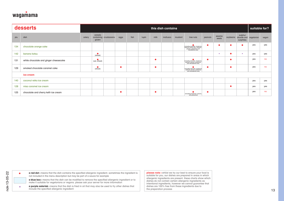

|           | desserts                                                                                                                                                                                                                                                                                         |        |                    |                        |           |      |       |           | this dish contains |         |                                                                                                                                                                                                                                                      |           |                 |           |                                              | suitable for? |       |
|-----------|--------------------------------------------------------------------------------------------------------------------------------------------------------------------------------------------------------------------------------------------------------------------------------------------------|--------|--------------------|------------------------|-----------|------|-------|-----------|--------------------|---------|------------------------------------------------------------------------------------------------------------------------------------------------------------------------------------------------------------------------------------------------------|-----------|-----------------|-----------|----------------------------------------------|---------------|-------|
| plu       | dish                                                                                                                                                                                                                                                                                             | celery | cereals<br>gluten  | containing crustaceans | eggs      | fish | lupin | milk      | molluscs           | mustard | tree nuts                                                                                                                                                                                                                                            | peanuts   | sesame<br>seeds |           | sulphur<br>soybeans dioxide and<br>sulphites | vegetarian    | vegan |
| 134       | chocolate orange cake                                                                                                                                                                                                                                                                            |        |                    |                        |           |      |       |           |                    |         | (including almonds, hazelnuts,<br>walnuts, brazil nuts, cashews,<br>pecans, pistachios and<br>macadamia nuts)                                                                                                                                        | $\bullet$ | ٠               | $\bullet$ | e                                            | yes           | yes   |
| 142       | banana katsu                                                                                                                                                                                                                                                                                     |        | $($ wheat $)$      |                        |           |      |       |           |                    |         |                                                                                                                                                                                                                                                      |           | $\star$         | $\bullet$ | $\star$                                      | yes           | yes   |
| 131       | white chocolate and ginger cheesecake                                                                                                                                                                                                                                                            |        | $($ oat, wheat $)$ |                        |           |      |       | $\bullet$ |                    |         | (including almonds, hazelnuts,<br>walnuts, pecans, pistachios<br>and macadamia nuts)                                                                                                                                                                 | $\bullet$ |                 | $\bullet$ |                                              | yes           | no    |
| 129       | smoked chocolate caramel cake                                                                                                                                                                                                                                                                    |        | $($ wheat $)$      |                        | $\bullet$ |      |       | $\bullet$ |                    |         | $\bullet$<br>(including almonds, hazelnuts,<br>walnuts, pecans, pistachios<br>and macadamia nuts)                                                                                                                                                    | $\bullet$ |                 | $\bullet$ |                                              | yes           | no    |
|           | ice cream                                                                                                                                                                                                                                                                                        |        |                    |                        |           |      |       |           |                    |         |                                                                                                                                                                                                                                                      |           |                 |           |                                              |               |       |
| 140       | coconut reika ice cream                                                                                                                                                                                                                                                                          |        |                    |                        |           |      |       |           |                    |         |                                                                                                                                                                                                                                                      |           |                 |           |                                              | yes           | yes   |
| 128       | miso caramel ice cream                                                                                                                                                                                                                                                                           |        |                    |                        |           |      |       |           |                    |         |                                                                                                                                                                                                                                                      |           |                 | $\bullet$ |                                              | yes           | yes   |
| 125       | chocolate and cherry kefir ice cream                                                                                                                                                                                                                                                             |        |                    |                        | ٠         |      |       | $\bullet$ |                    |         | ٠<br>(including hazelnuts, pecans,<br>and pistachios)                                                                                                                                                                                                | $\bullet$ |                 |           |                                              | yes           | no    |
|           |                                                                                                                                                                                                                                                                                                  |        |                    |                        |           |      |       |           |                    |         |                                                                                                                                                                                                                                                      |           |                 |           |                                              |               |       |
|           |                                                                                                                                                                                                                                                                                                  |        |                    |                        |           |      |       |           |                    |         |                                                                                                                                                                                                                                                      |           |                 |           |                                              |               |       |
| $\bullet$ | a red dot I means that the dish contains the specified allergenic ingredient. sometimes the ingredient is<br>not included in the menu description but may be part of a sauce for example<br>a blue box I means that the dish can be modified to remove the specified allergenic ingredient or to |        |                    |                        |           |      |       |           |                    |         | please note I whilst we try our best to ensure your food is<br>suitable for you, our dishes are prepared in areas in which<br>allergenic ingredients are present. these charts show which<br>dishes do not contain certain allergenic ingredients as |           |                 |           |                                              |               |       |

•  $\star$ nak-13-05-22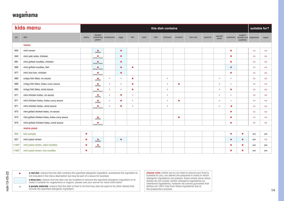

|       | kids menu                                     |           |                              |                        |           |           |       |      | this dish contains |           |           |         |                 |           |                                     | suitable for? |       |
|-------|-----------------------------------------------|-----------|------------------------------|------------------------|-----------|-----------|-------|------|--------------------|-----------|-----------|---------|-----------------|-----------|-------------------------------------|---------------|-------|
| plu   | dish                                          | celery    | cereals<br>gluten            | containing crustaceans | eggs      | fish      | lupin | milk | molluscs           | mustard   | tree nuts | peanuts | sesame<br>seeds | soybeans  | sulphur<br>dioxide and<br>sulphites | vegetarian    | vegan |
|       | mains                                         |           |                              |                        |           |           |       |      |                    |           |           |         |                 |           |                                     |               |       |
| 920   | mini ramen                                    |           | $($ wheat $)$                |                        | $\bullet$ |           |       |      |                    |           |           |         |                 | ٠         |                                     | no            | no    |
| 940   | mini yaki soba, chicken                       |           | $\bullet$<br>(barley, wheat) |                        | $\bullet$ |           |       |      |                    |           |           |         |                 | $\bullet$ |                                     | no            | no    |
| 981   | mini grilled noodles, chicken                 |           | $\bullet$<br>(barley, wheat) |                        | $\bullet$ |           |       |      |                    |           |           |         |                 | ٠         |                                     | no            | no    |
| 982   | mini grilled noodles, fish                    |           | ٠<br>(barley, wheat)         |                        | $\bullet$ | $\bullet$ |       |      |                    |           |           |         |                 | $\bullet$ |                                     | no            | no    |
| 977   | mini cha han, chicken                         |           | ٠<br>(barley, wheat)         |                        | $\bullet$ |           |       |      |                    |           |           |         |                 | $\bullet$ |                                     | no            | no    |
| 983   | crispy fish bites, no sauce                   |           | (wheat)                      | $\star$                | $\star$   | $\bullet$ |       |      |                    |           |           |         |                 |           |                                     | no            | no    |
| 983   | crispy fish bites, katsu curry sauce          |           | $($ wheat $)$                | $\star$                | $\star$   | $\bullet$ |       |      |                    | $\bullet$ |           |         |                 |           |                                     | no            | no    |
| 983   | crispy fish bites, amai sauce                 |           | (barley, wheat)              | $\star$                | ÷         | $\bullet$ |       |      |                    |           |           |         |                 | ٠         |                                     | no            | no    |
| 971   | mini chicken katsu, no sauce                  |           | $($ wheat $)$                | $\star$                | $\bullet$ | $\star$   |       |      |                    |           |           |         |                 |           |                                     | no            | no    |
| 971   | mini chicken katsu, katsu curry sauce         |           | $($ wheat $)$                | $\star$                |           | $\star$   |       |      |                    | $\bullet$ |           |         |                 |           |                                     | no            | no    |
| 971   | mini chicken katsu, amai sauce                |           | ٠<br>(barley, wheat)         | $\star$                |           | $\star$   |       |      |                    |           |           |         |                 |           |                                     | no            | no    |
| 973   | mini grilled chicken katsu, no sauce          |           |                              |                        |           |           |       |      |                    |           |           |         |                 | ٠         |                                     | no            | no    |
| 973   | mini grilled chicken katsu, katsu curry sauce |           | $($ wheat $)$                |                        |           |           |       |      |                    | $\bullet$ |           |         |                 | ٠         |                                     | no            | no    |
| 973   | mini grilled chicken katsu, amai sauce        |           | ٠<br>(barley, wheat)         |                        |           |           |       |      |                    |           |           |         |                 | ٠         |                                     | no            | no    |
|       | mains yasai                                   |           |                              |                        |           |           |       |      |                    |           |           |         |                 |           |                                     |               |       |
| 203   | tofu sample                                   | ٠         |                              |                        |           |           |       |      |                    |           |           |         |                 | ٠         |                                     | yes           | yes   |
| 927   | mini yasai ramen                              | $\bullet$ | $($ wheat $)$                |                        | $\bullet$ |           |       |      |                    |           |           |         |                 | $\bullet$ | $\bullet$                           | yes           | no    |
| 11927 | mini yasai ramen, udon noodles                | ۰         | $\bullet$<br>(wheat)         |                        |           |           |       |      |                    |           |           |         |                 | ٠         | ٠                                   | yes           | yes   |
| 11927 | mini yasai ramen, rice noodles                | ٠         |                              |                        |           |           |       |      |                    |           |           |         |                 | ٠         |                                     | yes           | yes   |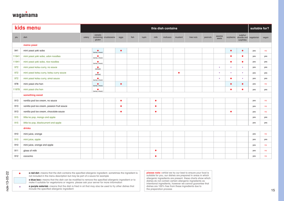

|       | kids menu                                  |        |                              |                        |           |      |       |      | this dish contains |           |           |         |                 |           |                                     | suitable for? |       |
|-------|--------------------------------------------|--------|------------------------------|------------------------|-----------|------|-------|------|--------------------|-----------|-----------|---------|-----------------|-----------|-------------------------------------|---------------|-------|
| plu   | dish                                       | celery | cereals<br>gluten            | containing crustaceans | eggs      | fish | lupin | milk | molluscs           | mustard   | tree nuts | peanuts | sesame<br>seeds | soybeans  | sulphur<br>dioxide and<br>sulphites | vegetarian    | vegan |
|       | mains yasai                                |        |                              |                        |           |      |       |      |                    |           |           |         |                 |           |                                     |               |       |
| 941   | mini yasai yaki soba                       |        | (barley, wheat)              |                        | $\bullet$ |      |       |      |                    |           |           |         |                 | $\bullet$ | $\bullet$                           | yes           | no    |
| 11941 | mini yasai yaki soba, udon noodles         |        | $\bullet$<br>(barley, wheat) |                        |           |      |       |      |                    |           |           |         |                 | ٠         | $\bullet$                           | yes           | yes   |
| 11941 | mini yasai yaki soba, rice noodles         |        | ٠<br>(barley, wheat)         |                        |           |      |       |      |                    |           |           |         |                 | $\bullet$ | ٠                                   | yes           | yes   |
| 972   | mini yasai katsu curry, no sauce           |        | $($ wheat $)$                |                        |           |      |       |      |                    |           |           |         |                 |           |                                     | yes           | yes   |
| 972   | mini yasai katsu curry, katsu curry sauce  |        | $($ wheat $)$                |                        |           |      |       |      |                    | $\bullet$ |           |         |                 |           |                                     | yes           | yes   |
| 972   | mini yasai katsu curry, amai sauce         |        | $\bullet$<br>(barley, wheat) |                        |           |      |       |      |                    |           |           |         |                 | $\bullet$ |                                     | yes           | yes   |
| 978   | mini yasai cha han                         |        | (barley, wheat)              |                        | $\bullet$ |      |       |      |                    |           |           |         |                 | $\bullet$ | $\bullet$                           | yes           | no    |
| 11978 | mini yasai cha han                         |        | (barley, wheat)              |                        |           |      |       |      |                    |           |           |         |                 | ٠         |                                     | yes           | yes   |
|       | something sweet                            |        |                              |                        |           |      |       |      |                    |           |           |         |                 |           |                                     |               |       |
| 913   | vanilla pod ice cream, no sauce            |        |                              |                        |           |      |       | ٠    |                    |           |           |         |                 |           |                                     | yes           | no    |
| 913   | vanilla pod ice cream, passion fruit sauce |        |                              |                        |           |      |       | ٠    |                    |           |           |         |                 |           |                                     | yes           | no    |
| 913   | vanilla pod ice cream, chocolate sauce     |        |                              |                        | ٠         |      |       | ٠    |                    |           |           |         |                 | ٠         |                                     | yes           | no    |
| 915   | little ko pop, mango and apple             |        |                              |                        |           |      |       |      |                    |           |           |         |                 |           |                                     | yes           | yes   |
| 915   | little ko pop, blackcurrant and apple      |        |                              |                        |           |      |       |      |                    |           |           |         |                 |           |                                     | yes           | yes   |
|       | drinks                                     |        |                              |                        |           |      |       |      |                    |           |           |         |                 |           |                                     |               |       |
| 910   | mini juice, orange                         |        |                              |                        |           |      |       |      |                    |           |           |         |                 |           |                                     | yes           | no    |
| 910   | mini juice, apple                          |        |                              |                        |           |      |       |      |                    |           |           |         |                 |           |                                     | yes           | yes   |
| 910   | mini juice, orange and apple               |        |                              |                        |           |      |       |      |                    |           |           |         |                 |           |                                     | yes           | no    |
|       |                                            |        |                              |                        |           |      |       | ٠    |                    |           |           |         |                 |           |                                     | yes           | no    |
| 911   | glass of milk                              |        |                              |                        |           |      |       |      |                    |           |           |         |                 |           |                                     |               |       |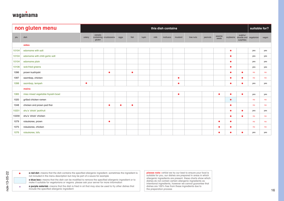

|       | non gluten menu                   |        |                   |                        |      |           |       |      | this dish contains |           |           |         |                 |           |                                              | suitable for? |       |
|-------|-----------------------------------|--------|-------------------|------------------------|------|-----------|-------|------|--------------------|-----------|-----------|---------|-----------------|-----------|----------------------------------------------|---------------|-------|
| plu   | dish                              | celery | cereals<br>gluten | containing crustaceans | eggs | fish      | lupin | milk | molluscs           | mustard   | tree nuts | peanuts | sesame<br>seeds |           | sulphur<br>soybeans dioxide and<br>sulphites | vegetarian    | vegan |
|       | sides                             |        |                   |                        |      |           |       |      |                    |           |           |         |                 |           |                                              |               |       |
| 10104 | edamame with salt                 |        |                   |                        |      |           |       |      |                    |           |           |         |                 | ٠         |                                              | yes           | yes   |
| 10104 | edamame with chilli garlic salt   |        |                   |                        |      |           |       |      |                    |           |           |         |                 | $\bullet$ |                                              | yes           | yes   |
| 10104 | edamame plain                     |        |                   |                        |      |           |       |      |                    |           |           |         |                 | ٠         |                                              | yes           | yes   |
| 10106 | wok-fried greens                  |        |                   |                        |      |           |       |      |                    |           |           |         |                 | $\bullet$ |                                              | yes           | yes   |
| 1096  | prawn kushiyaki                   |        |                   | ٠                      |      | $\bullet$ |       |      |                    |           |           |         |                 | $\bullet$ | ●                                            | no            | no    |
| 1097  | ssambap, chicken                  |        |                   |                        |      |           |       |      |                    | $\bullet$ |           |         |                 | $\bullet$ | ۸                                            | no            | no    |
| 1098  | ssambap, tempeh                   | ٠      |                   |                        |      |           |       |      |                    |           |           |         |                 | $\bullet$ |                                              | yes           | yes   |
|       | mains                             |        |                   |                        |      |           |       |      |                    |           |           |         |                 |           |                                              |               |       |
| 1065  | miso mixed vegetable hiyashi bowl |        |                   |                        |      |           |       |      |                    | ●         |           |         | ٠               | $\bullet$ |                                              | yes           | yes   |
| 1020  | grilled chicken ramen             |        |                   |                        |      |           |       |      |                    |           |           |         |                 | $\bullet$ |                                              | no            | no    |
| 1048  | chicken and prawn pad thai        |        |                   | $\bullet$              |      | $\bullet$ |       |      |                    |           |           |         |                 | $\bullet$ |                                              | no            | no    |
| 10231 | shu's 'shiok' jackfruit           |        |                   |                        |      |           |       |      |                    |           |           |         |                 | $\bullet$ | $\bullet$                                    | yes           | yes   |
| 10230 | shu's 'shiok' chicken             |        |                   |                        |      |           |       |      |                    |           |           |         |                 | ۰         | ●                                            | no            | no    |
| 1079  | raisukaree, prawn                 |        |                   | ٠                      |      |           |       |      |                    |           |           |         | ٠               | $\bullet$ |                                              | no            | no    |
| 1075  | raisukaree, chicken               |        |                   |                        |      |           |       |      |                    |           |           |         | ٠               | ٠         |                                              | no            | no    |
| 1076  |                                   |        |                   |                        |      |           |       |      |                    |           |           |         |                 |           |                                              |               |       |